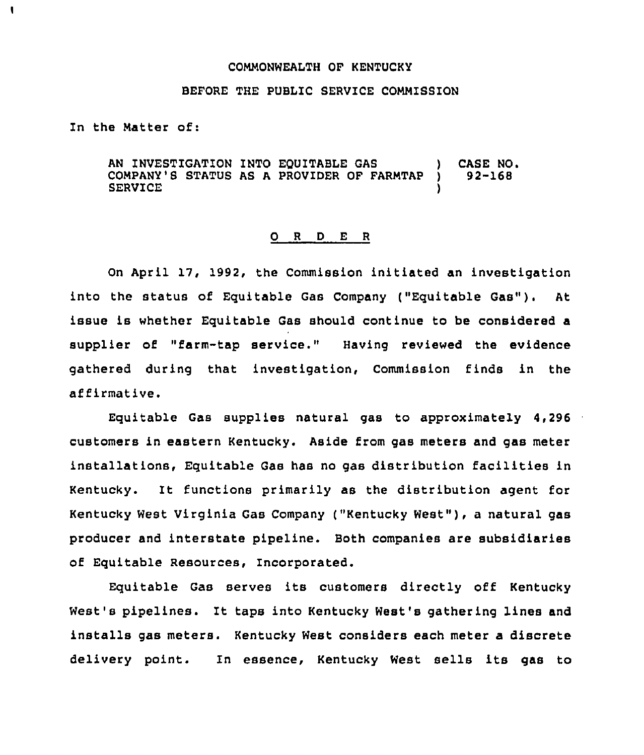## COMMONWEALTH OF KENTUCKY

## BEFORE THE PUBLIC SERVICE COMMISSION

In the Matter of:

1

AN INVESTIGATION INTO EQUITABLE GAS (as COMPANY'S STATUS AS A PROVIDER OF FARMTAP ) 92-168 COMPANY'S STATUS AS A PROVIDER OF FARMTAP **SERVICE** 

## 0 <sup>R</sup> <sup>D</sup> E <sup>R</sup>

On April 17, 1992, the Commission initiated an investigation into the status of Equitable Gas Company ("Equitable Gas"). At issue is whether Equitable Gas should continue to be considered a supplier of "farm-tap service." Having reviewed the evidence gathered during that investigation, Commission finds in the affirmative.

Equitable Gas supplies natural gas to approximately 4,296 customers in eastern Kentucky. Aside from gas meters and gas meter installations, Equitable Gas has no gas distribution facilities in Kentucky. It functions primarily as the distribution agent for Kentucky West Virginia Gas Company ("Kentucky West" ), <sup>a</sup> natural gas producer and interstate pipeline. Both companies are subsidiaries of Equitable Resources, incorporated.

Equitable Gas serves its customers directly off Kentucky West's pipelines. It taps into Kentucky West's gathering lines and installs gas meters. Kentucky West considers each meter a discrete delivery point. In essence, Kentucky West sells its gas to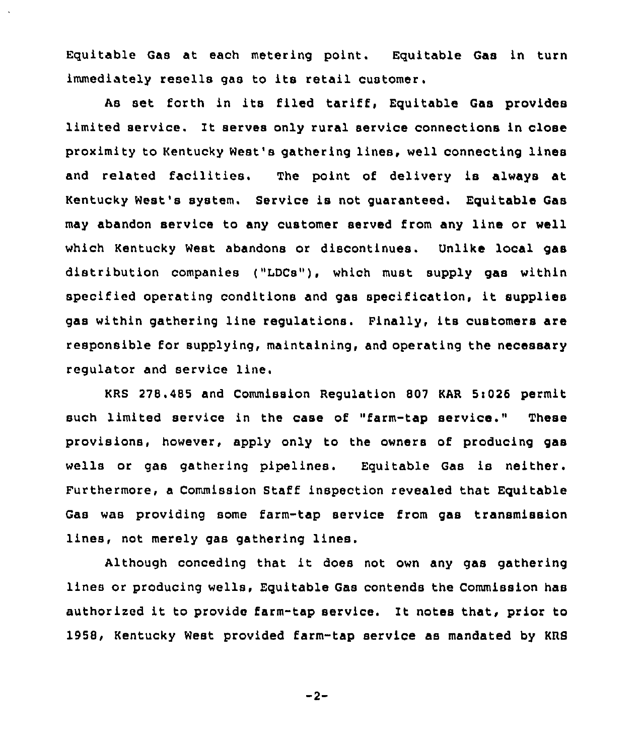Equitable Gas at each metering point. Equitable Gas in turn immediately resells gas to its retail customer.

As set forth in its filed tariff, Equitable Gas provides limited service. lt serves only rural service connections in close proximity to Kentucky West's gathering lines, well connecting lines and related facilities. The point of delivery is always at Kentucky West's system. Service is not guaranteed. Equitable Gas may abandon service to any customer served from any line or well which Kentucky West abandons or discontinues. Unlike local gas distribution companies ("LDCs"), which must supply gas within specified operating conditions and gas specification, it supplies gas within gathering line regulations. Finally, its customers are responsible for supplying, maintaining, and operating the necessary regulator and service line.

KRS 278.485 and Commission Regulation 807 KAR Si026 permit such limited service in the case of "farm-tap service." These provisions, however, apply only to the owners of producing gas wells or gas gathering pipelines. Equitable Gas is neither. Furthermore, a Commission Staff inspection revealed that Equitable Gas was providing some farm-tap service from gas transmission lines, not merely gas gathering lines.

Although conceding that it does not own any gas gathering lines or producing wells, Equitable Gas contends the Commission has authorised it to provide farm-tap service. lt notes that, prior to 1958, Kentucky West provided farm-tap service as mandated by KRS

 $-2-$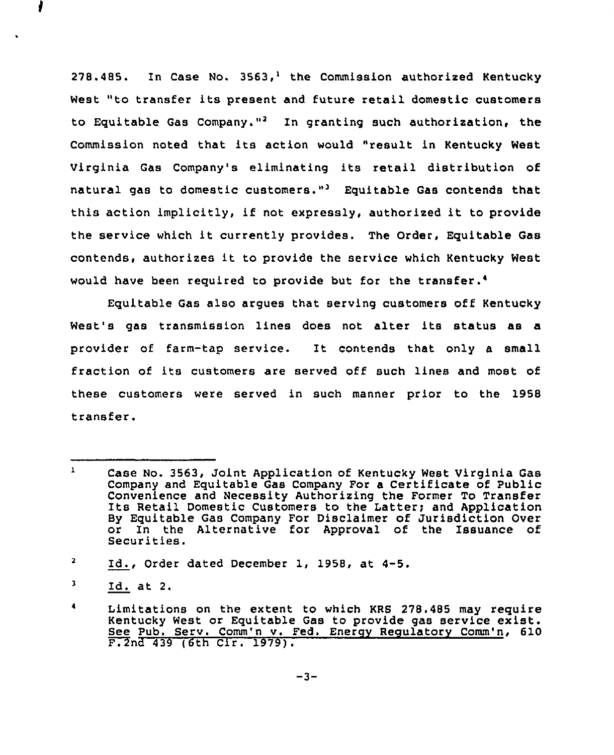278.485. In Case No.  $3563<sub>1</sub><sup>1</sup>$  the Commission authorized Kentucky West "to transfer its present and future retail domestic customers to Equitable Gas Company."<sup>2</sup> In granting such authorization, the Commission noted that its action would "result in Kentucky West Virginia Gas Company's eliminating its retail distribution of natural gas to domestic customers."<sup>3</sup> Equitable Gas contends that this action implicitly, if not expressly, authorized it to provide the service which it currently provides. The Order, Equitable Gas contends, authorizes it to provide the service which Kentucky West would have been required to provide but for the transfer.<sup>4</sup>

Equitable Gas also arques that serving customers off Kentucky West's gas transmission lines does not alter its status as a provider of farm-tap service. It contends that only <sup>a</sup> small fraction of its customers are served off such lines and most of these customers were served in such manner prior to the 1958 transfer.

 $\mathbf{1}$ Case No. 3563, Joint Application of Kentucky West Virginia Gas Company and Equitable Gas Company For a Certificate of Public Convenience and Necessity Authorizing the Former To Transfer<br>Its Retail Domestic Customers to the Latter; and Application By Equitable Gas Company For Disclaimer of Jurisdiction Over or In the Alternative for Approval of the Issuance of<br>Securities.

 $\mathbf{z}$ Id., Order dated December 1, 1958, at 4-5.

 $\mathbf{J}$ Id. at 2.

Limitations on the extent to which KRS 278.485 may require Kentucky West or Equitable Gas to provide gas service exist. See Pub. Serv. Comm'n v. Fed. Energy Regulatory Comm'n, 610  $F. 2nd 439 (6th Cir. 1979).$